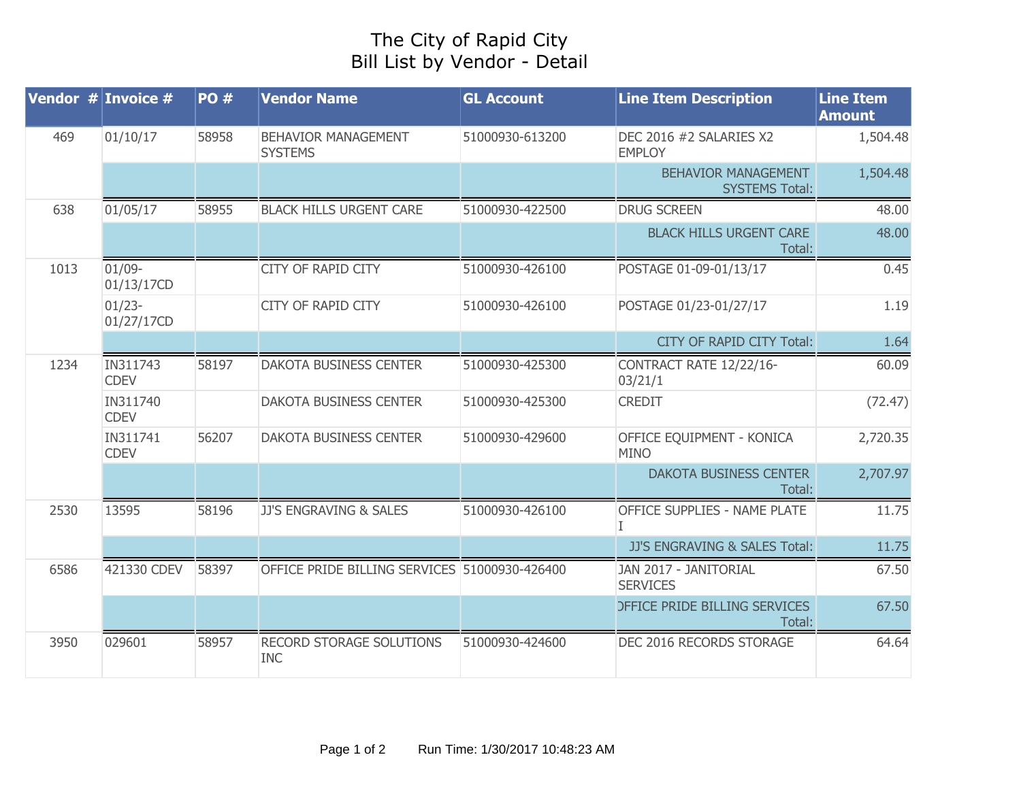## The City of Rapid City Bill List by Vendor - Detail

| Vendor $#$ Invoice $#$ |                         | <b>PO#</b> | <b>Vendor Name</b>                            | <b>GL Account</b> | <b>Line Item Description</b>                        | <b>Line Item</b><br><b>Amount</b> |
|------------------------|-------------------------|------------|-----------------------------------------------|-------------------|-----------------------------------------------------|-----------------------------------|
| 469                    | 01/10/17                | 58958      | <b>BEHAVIOR MANAGEMENT</b><br><b>SYSTEMS</b>  | 51000930-613200   | DEC 2016 #2 SALARIES X2<br><b>EMPLOY</b>            | 1,504.48                          |
|                        |                         |            |                                               |                   | <b>BEHAVIOR MANAGEMENT</b><br><b>SYSTEMS Total:</b> | 1,504.48                          |
| 638                    | 01/05/17                | 58955      | <b>BLACK HILLS URGENT CARE</b>                | 51000930-422500   | <b>DRUG SCREEN</b>                                  | 48.00                             |
|                        |                         |            |                                               |                   | <b>BLACK HILLS URGENT CARE</b><br>Total:            | 48.00                             |
| 1013                   | $01/09 -$<br>01/13/17CD |            | <b>CITY OF RAPID CITY</b>                     | 51000930-426100   | POSTAGE 01-09-01/13/17                              | 0.45                              |
|                        | $01/23 -$<br>01/27/17CD |            | <b>CITY OF RAPID CITY</b>                     | 51000930-426100   | POSTAGE 01/23-01/27/17                              | 1.19                              |
|                        |                         |            |                                               |                   | <b>CITY OF RAPID CITY Total:</b>                    | 1.64                              |
| 1234                   | IN311743<br><b>CDEV</b> | 58197      | <b>DAKOTA BUSINESS CENTER</b>                 | 51000930-425300   | CONTRACT RATE 12/22/16-<br>03/21/1                  | 60.09                             |
|                        | IN311740<br><b>CDEV</b> |            | <b>DAKOTA BUSINESS CENTER</b>                 | 51000930-425300   | <b>CREDIT</b>                                       | (72.47)                           |
|                        | IN311741<br><b>CDEV</b> | 56207      | <b>DAKOTA BUSINESS CENTER</b>                 | 51000930-429600   | OFFICE EQUIPMENT - KONICA<br><b>MINO</b>            | 2,720.35                          |
|                        |                         |            |                                               |                   | DAKOTA BUSINESS CENTER<br>Total:                    | 2,707.97                          |
| 2530                   | 13595                   | 58196      | JJ'S ENGRAVING & SALES                        | 51000930-426100   | OFFICE SUPPLIES - NAME PLATE                        | 11.75                             |
|                        |                         |            |                                               |                   | <b>JJ'S ENGRAVING &amp; SALES Total:</b>            | 11.75                             |
| 6586                   | 421330 CDEV             | 58397      | OFFICE PRIDE BILLING SERVICES 51000930-426400 |                   | JAN 2017 - JANITORIAL<br><b>SERVICES</b>            | 67.50                             |
|                        |                         |            |                                               |                   | <b>DEFICE PRIDE BILLING SERVICES</b><br>Total:      | 67.50                             |
| 3950                   | 029601                  | 58957      | RECORD STORAGE SOLUTIONS<br><b>INC</b>        | 51000930-424600   | DEC 2016 RECORDS STORAGE                            | 64.64                             |